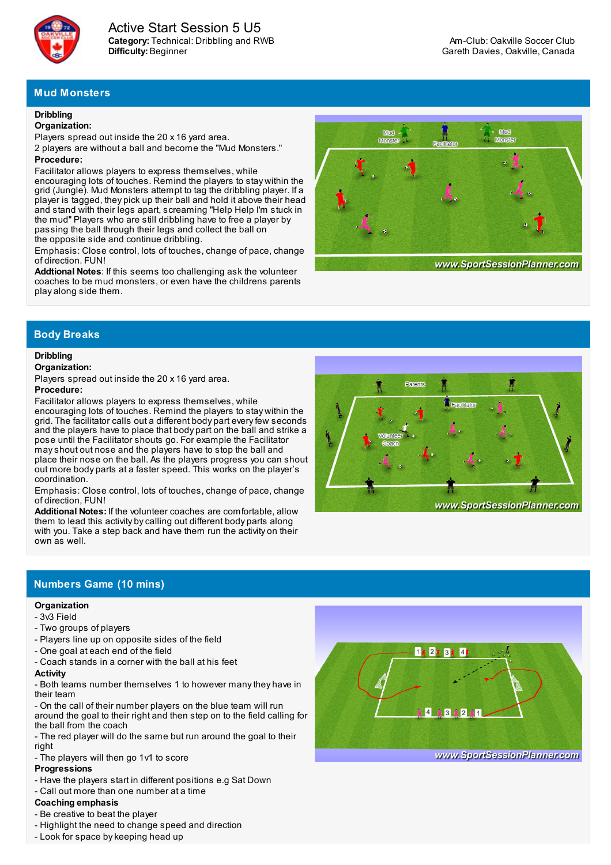

**Category:** Technical: Dribbling and RWB **Difficulty:** Beginner Active Start Session 5 U5

# **Mud Monsters**

## **Dribbling**

#### **Organization:**

Players spread out inside the 20 x 16 yard area.

2 players are without a ball and become the "Mud Monsters." **Procedure:**

## Facilitator allows players to express themselves, while

encouraging lots of touches. Remind the players to stay within the grid (Jungle). Mud Monsters attempt to tag the dribbling player. If a player is tagged, they pick up their ball and hold it above their head and stand with their legs apart, screaming "Help Help I'm stuck in the mud" Players who are still dribbling have to free a player by passing the ball through their legs and collect the ball on the opposite side and continue dribbling.

Emphasis: Close control, lots of touches, change of pace, change of direction. FUN!

**Addtional Notes**: If this seems too challenging ask the volunteer coaches to be mud monsters, or even have the childrens parents play along side them.



www.SportSessionPlanner.com

## **Body Breaks**

## **Dribbling**

### **Organization:**

Players spread out inside the 20 x 16 yard area.

#### **Procedure:**

Facilitator allows players to express themselves, while encouraging lots of touches. Remind the players to stay within the grid. The facilitator calls out a different body part everyfew seconds and the players have to place that body part on the ball and strike a pose until the Facilitator shouts go. For example the Facilitator mayshout out nose and the players have to stop the ball and place their nose on the ball. As the players progress you can shout out more body parts at a faster speed. This works on the player's coordination.

Emphasis: Close control, lots of touches, change of pace, change of direction, FUN!

**Additional Notes:** If the volunteer coaches are comfortable, allow them to lead this activity bycalling out different body parts along with you. Take a step back and have them run the activity on their own as well.



## **Numbers Game (10 mins)**

### **Organization**

- 3v3 Field
- Two groups of players
- Players line up on opposite sides of the field
- One goal at each end of the field
- Coach stands in a corner with the ball at his feet

#### **Activity**

- Both teams number themselves 1 to however manythey have in their team

- On the call of their number players on the blue team will run around the goal to their right and then step on to the field calling for the ball from the coach

- The red player will do the same but run around the goal to their right

#### - The players will then go 1v1 to score

## **Progressions**

- Have the players start in different positions e.g Sat Down
- Call out more than one number at a time

## **Coaching emphasis**

- Be creative to beat the player
- Highlight the need to change speed and direction
- Look for space bykeeping head up